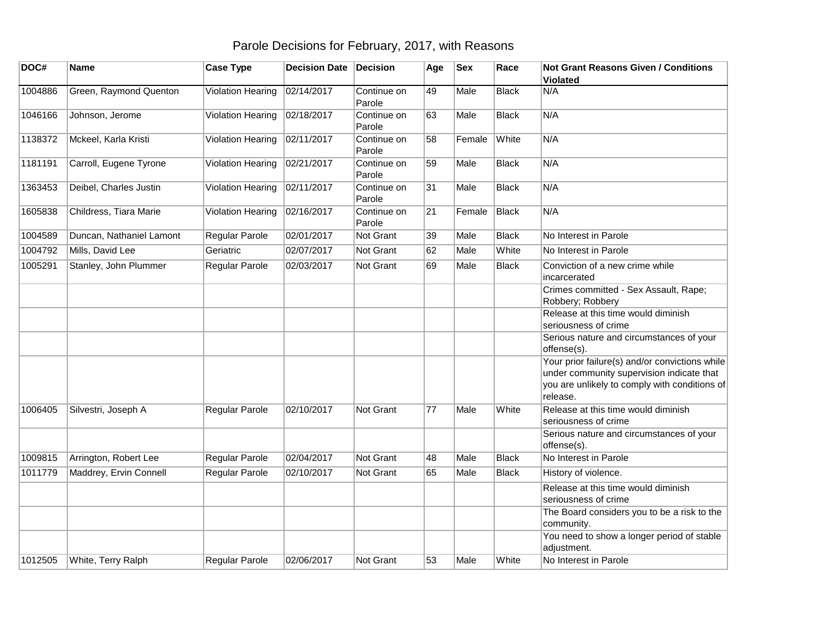## Parole Decisions for February, 2017, with Reasons

| DOC#    | <b>Name</b>              | <b>Case Type</b>         | <b>Decision Date</b> | Decision              | Age | <b>Sex</b> | Race         | <b>Not Grant Reasons Given / Conditions</b><br>Violated                                                                                                  |
|---------|--------------------------|--------------------------|----------------------|-----------------------|-----|------------|--------------|----------------------------------------------------------------------------------------------------------------------------------------------------------|
| 1004886 | Green, Raymond Quenton   | Violation Hearing        | 02/14/2017           | Continue on<br>Parole | 49  | Male       | <b>Black</b> | N/A                                                                                                                                                      |
| 1046166 | Johnson, Jerome          | Violation Hearing        | 02/18/2017           | Continue on<br>Parole | 63  | Male       | <b>Black</b> | N/A                                                                                                                                                      |
| 1138372 | Mckeel, Karla Kristi     | <b>Violation Hearing</b> | 02/11/2017           | Continue on<br>Parole | 58  | Female     | White        | N/A                                                                                                                                                      |
| 1181191 | Carroll, Eugene Tyrone   | <b>Violation Hearing</b> | 02/21/2017           | Continue on<br>Parole | 59  | Male       | <b>Black</b> | N/A                                                                                                                                                      |
| 1363453 | Deibel, Charles Justin   | Violation Hearing        | 02/11/2017           | Continue on<br>Parole | 31  | Male       | <b>Black</b> | N/A                                                                                                                                                      |
| 1605838 | Childress, Tiara Marie   | <b>Violation Hearing</b> | 02/16/2017           | Continue on<br>Parole | 21  | Female     | <b>Black</b> | N/A                                                                                                                                                      |
| 1004589 | Duncan, Nathaniel Lamont | Regular Parole           | 02/01/2017           | Not Grant             | 39  | Male       | <b>Black</b> | No Interest in Parole                                                                                                                                    |
| 1004792 | Mills, David Lee         | Geriatric                | 02/07/2017           | Not Grant             | 62  | Male       | White        | No Interest in Parole                                                                                                                                    |
| 1005291 | Stanley, John Plummer    | Regular Parole           | 02/03/2017           | Not Grant             | 69  | Male       | <b>Black</b> | Conviction of a new crime while<br>incarcerated                                                                                                          |
|         |                          |                          |                      |                       |     |            |              | Crimes committed - Sex Assault, Rape;<br>Robbery; Robbery                                                                                                |
|         |                          |                          |                      |                       |     |            |              | Release at this time would diminish<br>seriousness of crime                                                                                              |
|         |                          |                          |                      |                       |     |            |              | Serious nature and circumstances of your<br>offense(s).                                                                                                  |
|         |                          |                          |                      |                       |     |            |              | Your prior failure(s) and/or convictions while<br>under community supervision indicate that<br>you are unlikely to comply with conditions of<br>release. |
| 1006405 | Silvestri, Joseph A      | Regular Parole           | 02/10/2017           | Not Grant             | 77  | Male       | White        | Release at this time would diminish<br>seriousness of crime                                                                                              |
|         |                          |                          |                      |                       |     |            |              | Serious nature and circumstances of your<br>offense(s).                                                                                                  |
| 1009815 | Arrington, Robert Lee    | Regular Parole           | 02/04/2017           | <b>Not Grant</b>      | 48  | Male       | <b>Black</b> | No Interest in Parole                                                                                                                                    |
| 1011779 | Maddrey, Ervin Connell   | Regular Parole           | 02/10/2017           | Not Grant             | 65  | Male       | <b>Black</b> | History of violence.                                                                                                                                     |
|         |                          |                          |                      |                       |     |            |              | Release at this time would diminish<br>seriousness of crime                                                                                              |
|         |                          |                          |                      |                       |     |            |              | The Board considers you to be a risk to the<br>community.                                                                                                |
|         |                          |                          |                      |                       |     |            |              | You need to show a longer period of stable<br>adjustment.                                                                                                |
| 1012505 | White, Terry Ralph       | Regular Parole           | 02/06/2017           | Not Grant             | 53  | Male       | White        | No Interest in Parole                                                                                                                                    |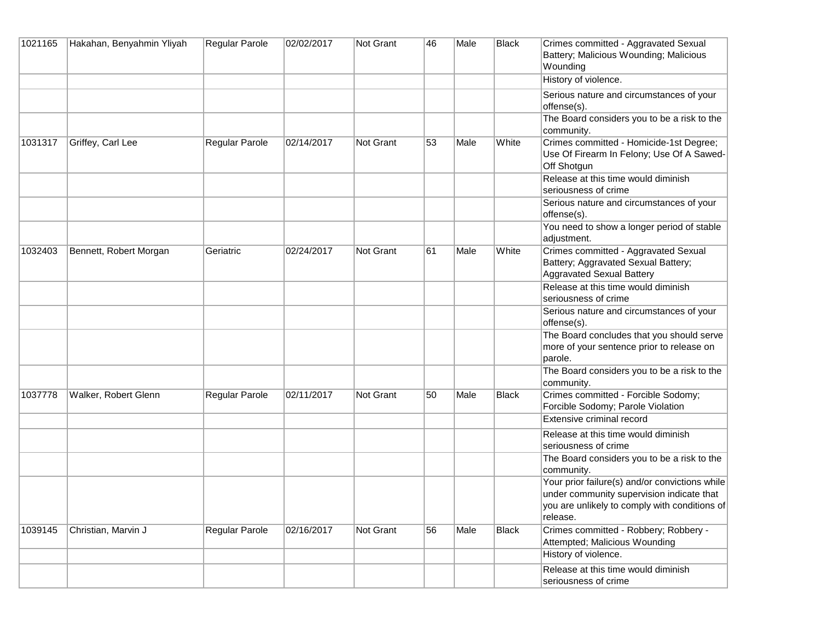| 1021165 | Hakahan, Benyahmin Yliyah | <b>Regular Parole</b> | 02/02/2017 | Not Grant | 46 | Male | <b>Black</b> | Crimes committed - Aggravated Sexual<br>Battery; Malicious Wounding; Malicious<br>Wounding                                                               |
|---------|---------------------------|-----------------------|------------|-----------|----|------|--------------|----------------------------------------------------------------------------------------------------------------------------------------------------------|
|         |                           |                       |            |           |    |      |              | History of violence.                                                                                                                                     |
|         |                           |                       |            |           |    |      |              | Serious nature and circumstances of your<br>offense(s).                                                                                                  |
|         |                           |                       |            |           |    |      |              | The Board considers you to be a risk to the<br>community.                                                                                                |
| 1031317 | Griffey, Carl Lee         | Regular Parole        | 02/14/2017 | Not Grant | 53 | Male | White        | Crimes committed - Homicide-1st Degree;<br>Use Of Firearm In Felony; Use Of A Sawed-<br>Off Shotgun                                                      |
|         |                           |                       |            |           |    |      |              | Release at this time would diminish<br>seriousness of crime                                                                                              |
|         |                           |                       |            |           |    |      |              | Serious nature and circumstances of your<br>offense(s).                                                                                                  |
|         |                           |                       |            |           |    |      |              | You need to show a longer period of stable<br>adjustment.                                                                                                |
| 1032403 | Bennett, Robert Morgan    | Geriatric             | 02/24/2017 | Not Grant | 61 | Male | White        | Crimes committed - Aggravated Sexual<br>Battery; Aggravated Sexual Battery;<br><b>Aggravated Sexual Battery</b>                                          |
|         |                           |                       |            |           |    |      |              | Release at this time would diminish<br>seriousness of crime                                                                                              |
|         |                           |                       |            |           |    |      |              | Serious nature and circumstances of your<br>offense(s).                                                                                                  |
|         |                           |                       |            |           |    |      |              | The Board concludes that you should serve<br>more of your sentence prior to release on<br>parole.                                                        |
|         |                           |                       |            |           |    |      |              | The Board considers you to be a risk to the<br>community.                                                                                                |
| 1037778 | Walker, Robert Glenn      | Regular Parole        | 02/11/2017 | Not Grant | 50 | Male | <b>Black</b> | Crimes committed - Forcible Sodomy;<br>Forcible Sodomy; Parole Violation                                                                                 |
|         |                           |                       |            |           |    |      |              | Extensive criminal record                                                                                                                                |
|         |                           |                       |            |           |    |      |              | Release at this time would diminish<br>seriousness of crime                                                                                              |
|         |                           |                       |            |           |    |      |              | The Board considers you to be a risk to the<br>community.                                                                                                |
|         |                           |                       |            |           |    |      |              | Your prior failure(s) and/or convictions while<br>under community supervision indicate that<br>you are unlikely to comply with conditions of<br>release. |
| 1039145 | Christian, Marvin J       | Regular Parole        | 02/16/2017 | Not Grant | 56 | Male | <b>Black</b> | Crimes committed - Robbery; Robbery -<br>Attempted; Malicious Wounding                                                                                   |
|         |                           |                       |            |           |    |      |              | History of violence.                                                                                                                                     |
|         |                           |                       |            |           |    |      |              | Release at this time would diminish<br>seriousness of crime                                                                                              |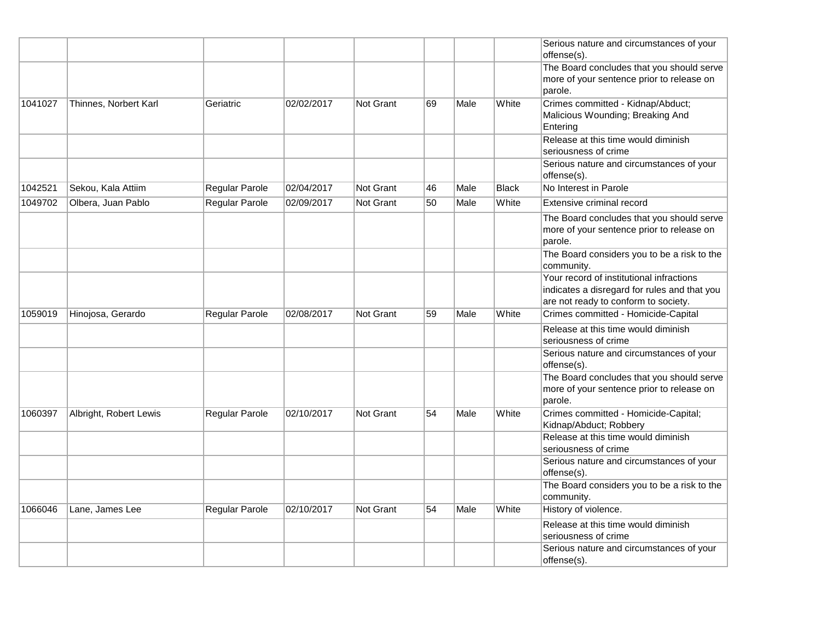|         |                        |                |            |                  |    |      |              | Serious nature and circumstances of your<br>offense(s).                                           |
|---------|------------------------|----------------|------------|------------------|----|------|--------------|---------------------------------------------------------------------------------------------------|
|         |                        |                |            |                  |    |      |              | The Board concludes that you should serve                                                         |
|         |                        |                |            |                  |    |      |              | more of your sentence prior to release on<br>parole.                                              |
| 1041027 | Thinnes, Norbert Karl  | Geriatric      | 02/02/2017 | <b>Not Grant</b> | 69 | Male | White        | Crimes committed - Kidnap/Abduct;                                                                 |
|         |                        |                |            |                  |    |      |              | Malicious Wounding; Breaking And<br>Entering                                                      |
|         |                        |                |            |                  |    |      |              | Release at this time would diminish<br>seriousness of crime                                       |
|         |                        |                |            |                  |    |      |              | Serious nature and circumstances of your<br>offense(s).                                           |
| 1042521 | Sekou, Kala Attiim     | Regular Parole | 02/04/2017 | Not Grant        | 46 | Male | <b>Black</b> | No Interest in Parole                                                                             |
| 1049702 | Olbera, Juan Pablo     | Regular Parole | 02/09/2017 | Not Grant        | 50 | Male | White        | Extensive criminal record                                                                         |
|         |                        |                |            |                  |    |      |              | The Board concludes that you should serve<br>more of your sentence prior to release on<br>parole. |
|         |                        |                |            |                  |    |      |              | The Board considers you to be a risk to the<br>community.                                         |
|         |                        |                |            |                  |    |      |              | Your record of institutional infractions<br>indicates a disregard for rules and that you          |
|         |                        |                |            |                  |    |      |              | are not ready to conform to society.                                                              |
| 1059019 | Hinojosa, Gerardo      | Regular Parole | 02/08/2017 | Not Grant        | 59 | Male | White        | Crimes committed - Homicide-Capital                                                               |
|         |                        |                |            |                  |    |      |              | Release at this time would diminish<br>seriousness of crime                                       |
|         |                        |                |            |                  |    |      |              | Serious nature and circumstances of your<br>offense(s).                                           |
|         |                        |                |            |                  |    |      |              | The Board concludes that you should serve<br>more of your sentence prior to release on<br>parole. |
| 1060397 | Albright, Robert Lewis | Regular Parole | 02/10/2017 | Not Grant        | 54 | Male | White        | Crimes committed - Homicide-Capital;<br>Kidnap/Abduct; Robbery                                    |
|         |                        |                |            |                  |    |      |              | Release at this time would diminish<br>seriousness of crime                                       |
|         |                        |                |            |                  |    |      |              | Serious nature and circumstances of your<br>offense(s).                                           |
|         |                        |                |            |                  |    |      |              | The Board considers you to be a risk to the<br>community.                                         |
| 1066046 | Lane, James Lee        | Regular Parole | 02/10/2017 | Not Grant        | 54 | Male | White        | History of violence.                                                                              |
|         |                        |                |            |                  |    |      |              | Release at this time would diminish<br>seriousness of crime                                       |
|         |                        |                |            |                  |    |      |              | Serious nature and circumstances of your<br>offense(s).                                           |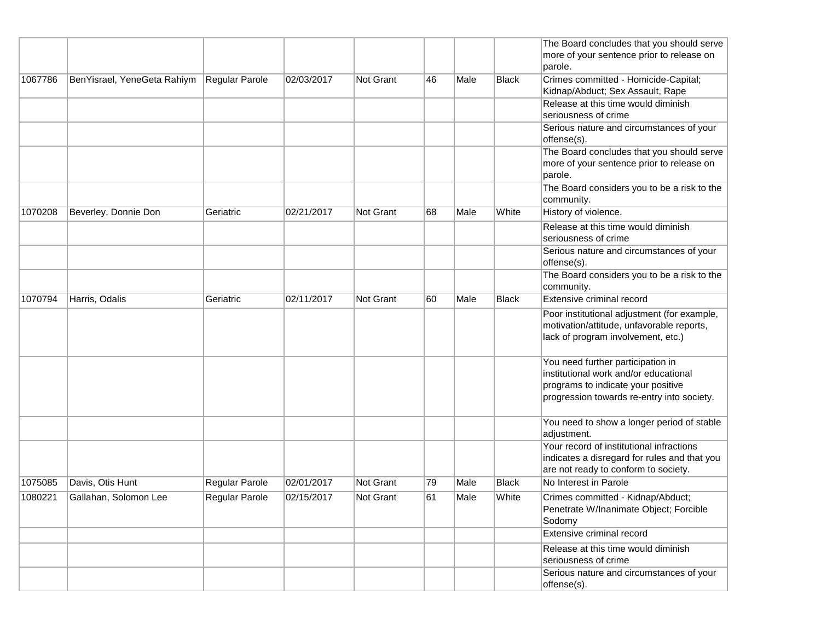|         |                             |                       |            |                  |    |      |              | The Board concludes that you should serve<br>more of your sentence prior to release on                                                                         |
|---------|-----------------------------|-----------------------|------------|------------------|----|------|--------------|----------------------------------------------------------------------------------------------------------------------------------------------------------------|
|         |                             |                       |            |                  |    |      |              | parole.                                                                                                                                                        |
| 1067786 | BenYisrael, YeneGeta Rahiym | Regular Parole        | 02/03/2017 | Not Grant        | 46 | Male | <b>Black</b> | Crimes committed - Homicide-Capital;                                                                                                                           |
|         |                             |                       |            |                  |    |      |              | Kidnap/Abduct; Sex Assault, Rape                                                                                                                               |
|         |                             |                       |            |                  |    |      |              | Release at this time would diminish                                                                                                                            |
|         |                             |                       |            |                  |    |      |              | seriousness of crime                                                                                                                                           |
|         |                             |                       |            |                  |    |      |              | Serious nature and circumstances of your<br>offense(s).                                                                                                        |
|         |                             |                       |            |                  |    |      |              | The Board concludes that you should serve                                                                                                                      |
|         |                             |                       |            |                  |    |      |              | more of your sentence prior to release on<br>parole.                                                                                                           |
|         |                             |                       |            |                  |    |      |              | The Board considers you to be a risk to the<br>community.                                                                                                      |
| 1070208 | Beverley, Donnie Don        | Geriatric             | 02/21/2017 | Not Grant        | 68 | Male | White        | History of violence.                                                                                                                                           |
|         |                             |                       |            |                  |    |      |              | Release at this time would diminish<br>seriousness of crime                                                                                                    |
|         |                             |                       |            |                  |    |      |              | Serious nature and circumstances of your<br>offense(s).                                                                                                        |
|         |                             |                       |            |                  |    |      |              | The Board considers you to be a risk to the<br>community.                                                                                                      |
| 1070794 | Harris, Odalis              | Geriatric             | 02/11/2017 | Not Grant        | 60 | Male | <b>Black</b> | Extensive criminal record                                                                                                                                      |
|         |                             |                       |            |                  |    |      |              | Poor institutional adjustment (for example,<br>motivation/attitude, unfavorable reports,<br>lack of program involvement, etc.)                                 |
|         |                             |                       |            |                  |    |      |              | You need further participation in<br>institutional work and/or educational<br>programs to indicate your positive<br>progression towards re-entry into society. |
|         |                             |                       |            |                  |    |      |              | You need to show a longer period of stable<br>adjustment.                                                                                                      |
|         |                             |                       |            |                  |    |      |              | Your record of institutional infractions<br>indicates a disregard for rules and that you<br>are not ready to conform to society.                               |
| 1075085 | Davis, Otis Hunt            | Regular Parole        | 02/01/2017 | <b>Not Grant</b> | 79 | Male | <b>Black</b> | No Interest in Parole                                                                                                                                          |
| 1080221 | Gallahan, Solomon Lee       | <b>Regular Parole</b> | 02/15/2017 | Not Grant        | 61 | Male | White        | Crimes committed - Kidnap/Abduct;<br>Penetrate W/Inanimate Object; Forcible<br>Sodomy                                                                          |
|         |                             |                       |            |                  |    |      |              | Extensive criminal record                                                                                                                                      |
|         |                             |                       |            |                  |    |      |              | Release at this time would diminish<br>seriousness of crime                                                                                                    |
|         |                             |                       |            |                  |    |      |              | Serious nature and circumstances of your<br>offense(s).                                                                                                        |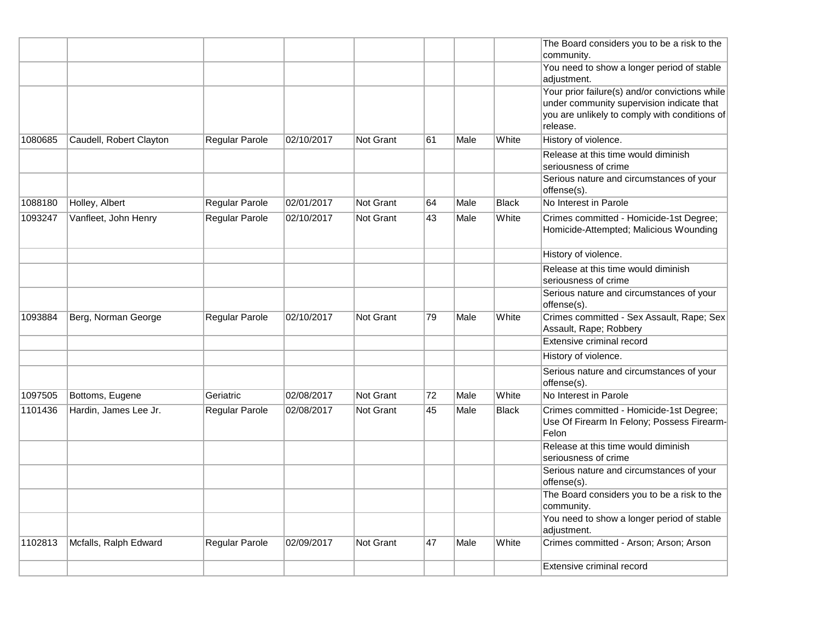|         |                         |                       |            |                  |    |      |              | The Board considers you to be a risk to the<br>community.                                                                                    |
|---------|-------------------------|-----------------------|------------|------------------|----|------|--------------|----------------------------------------------------------------------------------------------------------------------------------------------|
|         |                         |                       |            |                  |    |      |              | You need to show a longer period of stable<br>adjustment.                                                                                    |
|         |                         |                       |            |                  |    |      |              | Your prior failure(s) and/or convictions while<br>under community supervision indicate that<br>you are unlikely to comply with conditions of |
| 1080685 | Caudell, Robert Clayton | Regular Parole        | 02/10/2017 | Not Grant        | 61 | Male | White        | release.<br>History of violence.                                                                                                             |
|         |                         |                       |            |                  |    |      |              | Release at this time would diminish<br>seriousness of crime                                                                                  |
|         |                         |                       |            |                  |    |      |              | Serious nature and circumstances of your<br>offense(s).                                                                                      |
| 1088180 | Holley, Albert          | <b>Regular Parole</b> | 02/01/2017 | Not Grant        | 64 | Male | <b>Black</b> | No Interest in Parole                                                                                                                        |
| 1093247 | Vanfleet, John Henry    | <b>Regular Parole</b> | 02/10/2017 | Not Grant        | 43 | Male | White        | Crimes committed - Homicide-1st Degree;<br>Homicide-Attempted; Malicious Wounding                                                            |
|         |                         |                       |            |                  |    |      |              | History of violence.                                                                                                                         |
|         |                         |                       |            |                  |    |      |              | Release at this time would diminish<br>seriousness of crime                                                                                  |
|         |                         |                       |            |                  |    |      |              | Serious nature and circumstances of your<br>offense(s).                                                                                      |
| 1093884 | Berg, Norman George     | Regular Parole        | 02/10/2017 | <b>Not Grant</b> | 79 | Male | White        | Crimes committed - Sex Assault, Rape; Sex<br>Assault, Rape; Robbery                                                                          |
|         |                         |                       |            |                  |    |      |              | Extensive criminal record                                                                                                                    |
|         |                         |                       |            |                  |    |      |              | History of violence.                                                                                                                         |
|         |                         |                       |            |                  |    |      |              | Serious nature and circumstances of your<br>offense(s).                                                                                      |
| 1097505 | Bottoms, Eugene         | Geriatric             | 02/08/2017 | Not Grant        | 72 | Male | White        | No Interest in Parole                                                                                                                        |
| 1101436 | Hardin, James Lee Jr.   | Regular Parole        | 02/08/2017 | <b>Not Grant</b> | 45 | Male | <b>Black</b> | Crimes committed - Homicide-1st Degree;<br>Use Of Firearm In Felony; Possess Firearm-<br>Felon                                               |
|         |                         |                       |            |                  |    |      |              | Release at this time would diminish<br>seriousness of crime                                                                                  |
|         |                         |                       |            |                  |    |      |              | Serious nature and circumstances of your<br>offense(s).                                                                                      |
|         |                         |                       |            |                  |    |      |              | The Board considers you to be a risk to the<br>community.                                                                                    |
|         |                         |                       |            |                  |    |      |              | You need to show a longer period of stable<br>adjustment.                                                                                    |
| 1102813 | Mcfalls, Ralph Edward   | Regular Parole        | 02/09/2017 | Not Grant        | 47 | Male | White        | Crimes committed - Arson; Arson; Arson                                                                                                       |
|         |                         |                       |            |                  |    |      |              | Extensive criminal record                                                                                                                    |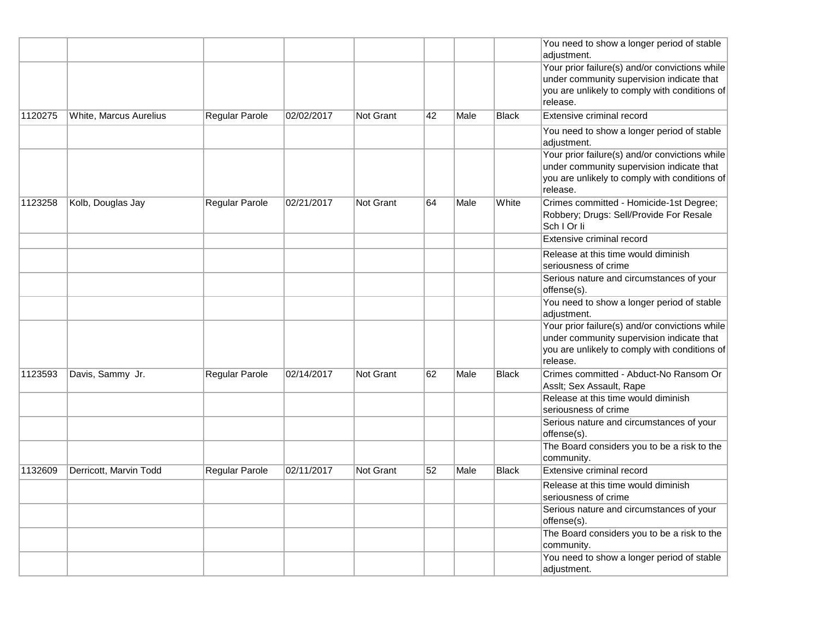|         |                        |                |            |           |    |      |              | You need to show a longer period of stable<br>adjustment.                                                                                                |
|---------|------------------------|----------------|------------|-----------|----|------|--------------|----------------------------------------------------------------------------------------------------------------------------------------------------------|
|         |                        |                |            |           |    |      |              | Your prior failure(s) and/or convictions while<br>under community supervision indicate that<br>you are unlikely to comply with conditions of             |
|         |                        |                |            |           |    |      |              | release.                                                                                                                                                 |
| 1120275 | White, Marcus Aurelius | Regular Parole | 02/02/2017 | Not Grant | 42 | Male | <b>Black</b> | Extensive criminal record                                                                                                                                |
|         |                        |                |            |           |    |      |              | You need to show a longer period of stable<br>adjustment.                                                                                                |
|         |                        |                |            |           |    |      |              | Your prior failure(s) and/or convictions while<br>under community supervision indicate that<br>you are unlikely to comply with conditions of<br>release. |
| 1123258 | Kolb, Douglas Jay      | Regular Parole | 02/21/2017 | Not Grant | 64 | Male | White        | Crimes committed - Homicide-1st Degree;<br>Robbery; Drugs: Sell/Provide For Resale<br>Sch I Or Ii                                                        |
|         |                        |                |            |           |    |      |              | Extensive criminal record                                                                                                                                |
|         |                        |                |            |           |    |      |              | Release at this time would diminish<br>seriousness of crime                                                                                              |
|         |                        |                |            |           |    |      |              | Serious nature and circumstances of your<br>offense(s).                                                                                                  |
|         |                        |                |            |           |    |      |              | You need to show a longer period of stable<br>adjustment.                                                                                                |
|         |                        |                |            |           |    |      |              | Your prior failure(s) and/or convictions while<br>under community supervision indicate that<br>you are unlikely to comply with conditions of<br>release. |
| 1123593 | Davis, Sammy Jr.       | Regular Parole | 02/14/2017 | Not Grant | 62 | Male | <b>Black</b> | Crimes committed - Abduct-No Ransom Or<br>Assit; Sex Assault, Rape                                                                                       |
|         |                        |                |            |           |    |      |              | Release at this time would diminish<br>seriousness of crime                                                                                              |
|         |                        |                |            |           |    |      |              | Serious nature and circumstances of your<br>offense(s).                                                                                                  |
|         |                        |                |            |           |    |      |              | The Board considers you to be a risk to the<br>community.                                                                                                |
| 1132609 | Derricott, Marvin Todd | Regular Parole | 02/11/2017 | Not Grant | 52 | Male | <b>Black</b> | Extensive criminal record                                                                                                                                |
|         |                        |                |            |           |    |      |              | Release at this time would diminish<br>seriousness of crime                                                                                              |
|         |                        |                |            |           |    |      |              | Serious nature and circumstances of your<br>offense(s).                                                                                                  |
|         |                        |                |            |           |    |      |              | The Board considers you to be a risk to the<br>community.                                                                                                |
|         |                        |                |            |           |    |      |              | You need to show a longer period of stable<br>adjustment.                                                                                                |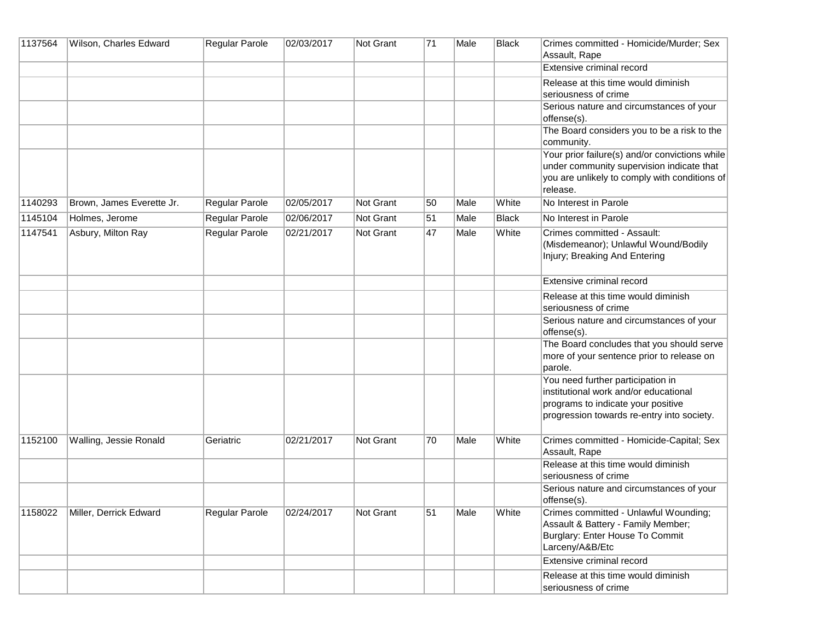| 1137564 | Wilson, Charles Edward    | Regular Parole        | 02/03/2017 | Not Grant | 71 | Male | <b>Black</b> | Crimes committed - Homicide/Murder; Sex<br>Assault, Rape                                                                                                       |
|---------|---------------------------|-----------------------|------------|-----------|----|------|--------------|----------------------------------------------------------------------------------------------------------------------------------------------------------------|
|         |                           |                       |            |           |    |      |              | Extensive criminal record                                                                                                                                      |
|         |                           |                       |            |           |    |      |              | Release at this time would diminish<br>seriousness of crime                                                                                                    |
|         |                           |                       |            |           |    |      |              | Serious nature and circumstances of your<br>offense(s).                                                                                                        |
|         |                           |                       |            |           |    |      |              | The Board considers you to be a risk to the<br>community.                                                                                                      |
|         |                           |                       |            |           |    |      |              | Your prior failure(s) and/or convictions while<br>under community supervision indicate that<br>you are unlikely to comply with conditions of<br>release.       |
| 1140293 | Brown, James Everette Jr. | Regular Parole        | 02/05/2017 | Not Grant | 50 | Male | White        | No Interest in Parole                                                                                                                                          |
| 1145104 | Holmes, Jerome            | <b>Regular Parole</b> | 02/06/2017 | Not Grant | 51 | Male | <b>Black</b> | No Interest in Parole                                                                                                                                          |
| 1147541 | Asbury, Milton Ray        | Regular Parole        | 02/21/2017 | Not Grant | 47 | Male | White        | Crimes committed - Assault:<br>(Misdemeanor); Unlawful Wound/Bodily<br>Injury; Breaking And Entering                                                           |
|         |                           |                       |            |           |    |      |              | Extensive criminal record                                                                                                                                      |
|         |                           |                       |            |           |    |      |              | Release at this time would diminish<br>seriousness of crime                                                                                                    |
|         |                           |                       |            |           |    |      |              | Serious nature and circumstances of your<br>offense(s).                                                                                                        |
|         |                           |                       |            |           |    |      |              | The Board concludes that you should serve<br>more of your sentence prior to release on<br>parole.                                                              |
|         |                           |                       |            |           |    |      |              | You need further participation in<br>institutional work and/or educational<br>programs to indicate your positive<br>progression towards re-entry into society. |
| 1152100 | Walling, Jessie Ronald    | Geriatric             | 02/21/2017 | Not Grant | 70 | Male | White        | Crimes committed - Homicide-Capital; Sex<br>Assault, Rape                                                                                                      |
|         |                           |                       |            |           |    |      |              | Release at this time would diminish<br>seriousness of crime                                                                                                    |
|         |                           |                       |            |           |    |      |              | Serious nature and circumstances of your<br>offense(s).                                                                                                        |
| 1158022 | Miller, Derrick Edward    | Regular Parole        | 02/24/2017 | Not Grant | 51 | Male | White        | Crimes committed - Unlawful Wounding;<br>Assault & Battery - Family Member;<br>Burglary: Enter House To Commit<br>Larceny/A&B/Etc                              |
|         |                           |                       |            |           |    |      |              | Extensive criminal record                                                                                                                                      |
|         |                           |                       |            |           |    |      |              | Release at this time would diminish<br>seriousness of crime                                                                                                    |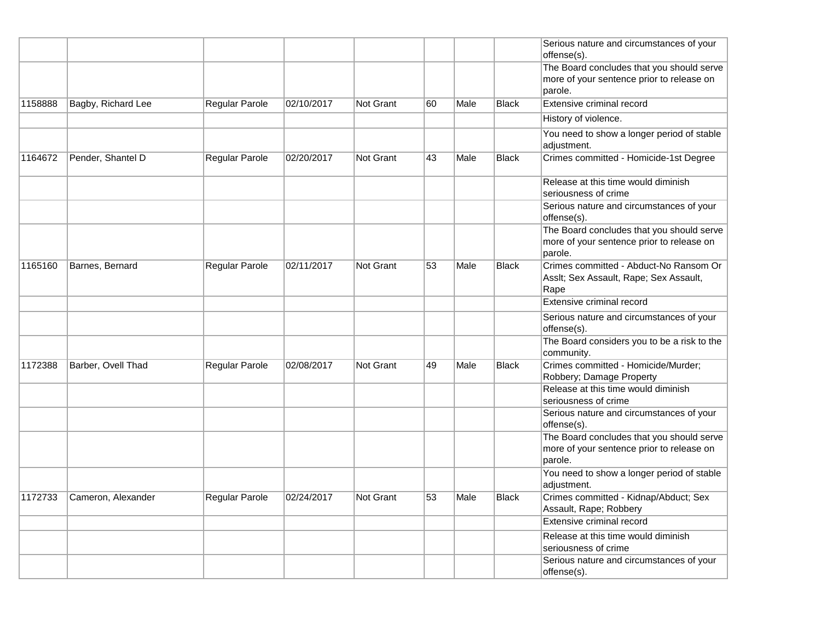|         |                    |                       |            |                  |    |      |              | Serious nature and circumstances of your<br>offense(s).                                           |
|---------|--------------------|-----------------------|------------|------------------|----|------|--------------|---------------------------------------------------------------------------------------------------|
|         |                    |                       |            |                  |    |      |              | The Board concludes that you should serve<br>more of your sentence prior to release on<br>parole. |
| 1158888 | Bagby, Richard Lee | Regular Parole        | 02/10/2017 | <b>Not Grant</b> | 60 | Male | <b>Black</b> | Extensive criminal record                                                                         |
|         |                    |                       |            |                  |    |      |              | History of violence.                                                                              |
|         |                    |                       |            |                  |    |      |              | You need to show a longer period of stable<br>adjustment.                                         |
| 1164672 | Pender, Shantel D  | <b>Regular Parole</b> | 02/20/2017 | <b>Not Grant</b> | 43 | Male | <b>Black</b> | Crimes committed - Homicide-1st Degree                                                            |
|         |                    |                       |            |                  |    |      |              | Release at this time would diminish<br>seriousness of crime                                       |
|         |                    |                       |            |                  |    |      |              | Serious nature and circumstances of your<br>offense(s).                                           |
|         |                    |                       |            |                  |    |      |              | The Board concludes that you should serve<br>more of your sentence prior to release on<br>parole. |
| 1165160 | Barnes, Bernard    | Regular Parole        | 02/11/2017 | <b>Not Grant</b> | 53 | Male | <b>Black</b> | Crimes committed - Abduct-No Ransom Or<br>Asslt; Sex Assault, Rape; Sex Assault,<br>Rape          |
|         |                    |                       |            |                  |    |      |              | Extensive criminal record                                                                         |
|         |                    |                       |            |                  |    |      |              | Serious nature and circumstances of your<br>offense(s).                                           |
|         |                    |                       |            |                  |    |      |              | The Board considers you to be a risk to the<br>community.                                         |
| 1172388 | Barber, Ovell Thad | Regular Parole        | 02/08/2017 | Not Grant        | 49 | Male | <b>Black</b> | Crimes committed - Homicide/Murder;<br>Robbery; Damage Property                                   |
|         |                    |                       |            |                  |    |      |              | Release at this time would diminish<br>seriousness of crime                                       |
|         |                    |                       |            |                  |    |      |              | Serious nature and circumstances of your<br>offense(s).                                           |
|         |                    |                       |            |                  |    |      |              | The Board concludes that you should serve<br>more of your sentence prior to release on<br>parole. |
|         |                    |                       |            |                  |    |      |              | You need to show a longer period of stable<br>adjustment.                                         |
| 1172733 | Cameron, Alexander | Regular Parole        | 02/24/2017 | Not Grant        | 53 | Male | <b>Black</b> | Crimes committed - Kidnap/Abduct; Sex<br>Assault, Rape; Robbery                                   |
|         |                    |                       |            |                  |    |      |              | Extensive criminal record                                                                         |
|         |                    |                       |            |                  |    |      |              | Release at this time would diminish<br>seriousness of crime                                       |
|         |                    |                       |            |                  |    |      |              | Serious nature and circumstances of your<br>offense(s).                                           |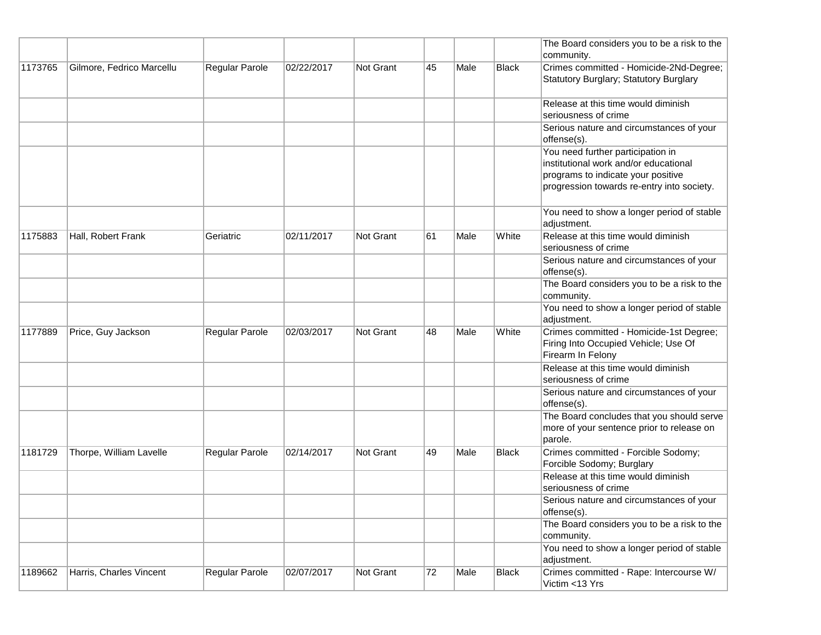|         |                           |                |            |                  |     |      |              | The Board considers you to be a risk to the<br>community.                                                                                                      |
|---------|---------------------------|----------------|------------|------------------|-----|------|--------------|----------------------------------------------------------------------------------------------------------------------------------------------------------------|
| 1173765 | Gilmore, Fedrico Marcellu | Regular Parole | 02/22/2017 | <b>Not Grant</b> | 45  | Male | <b>Black</b> | Crimes committed - Homicide-2Nd-Degree;<br>Statutory Burglary; Statutory Burglary                                                                              |
|         |                           |                |            |                  |     |      |              | Release at this time would diminish                                                                                                                            |
|         |                           |                |            |                  |     |      |              | seriousness of crime<br>Serious nature and circumstances of your<br>offense(s).                                                                                |
|         |                           |                |            |                  |     |      |              | You need further participation in<br>institutional work and/or educational<br>programs to indicate your positive<br>progression towards re-entry into society. |
|         |                           |                |            |                  |     |      |              | You need to show a longer period of stable<br>adjustment.                                                                                                      |
| 1175883 | Hall, Robert Frank        | Geriatric      | 02/11/2017 | <b>Not Grant</b> | ∣61 | Male | White        | Release at this time would diminish<br>seriousness of crime                                                                                                    |
|         |                           |                |            |                  |     |      |              | Serious nature and circumstances of your<br>offense(s).                                                                                                        |
|         |                           |                |            |                  |     |      |              | The Board considers you to be a risk to the<br>community.                                                                                                      |
|         |                           |                |            |                  |     |      |              | You need to show a longer period of stable<br>adjustment.                                                                                                      |
| 1177889 | Price, Guy Jackson        | Regular Parole | 02/03/2017 | Not Grant        | 48  | Male | White        | Crimes committed - Homicide-1st Degree;<br>Firing Into Occupied Vehicle; Use Of<br>Firearm In Felony                                                           |
|         |                           |                |            |                  |     |      |              | Release at this time would diminish<br>seriousness of crime                                                                                                    |
|         |                           |                |            |                  |     |      |              | Serious nature and circumstances of your<br>offense(s).                                                                                                        |
|         |                           |                |            |                  |     |      |              | The Board concludes that you should serve<br>more of your sentence prior to release on<br>parole.                                                              |
| 1181729 | Thorpe, William Lavelle   | Regular Parole | 02/14/2017 | Not Grant        | 49  | Male | <b>Black</b> | Crimes committed - Forcible Sodomy;<br>Forcible Sodomy; Burglary                                                                                               |
|         |                           |                |            |                  |     |      |              | Release at this time would diminish<br>seriousness of crime                                                                                                    |
|         |                           |                |            |                  |     |      |              | Serious nature and circumstances of your<br>offense(s).                                                                                                        |
|         |                           |                |            |                  |     |      |              | The Board considers you to be a risk to the<br>community.                                                                                                      |
|         |                           |                |            |                  |     |      |              | You need to show a longer period of stable<br>adjustment.                                                                                                      |
| 1189662 | Harris, Charles Vincent   | Regular Parole | 02/07/2017 | Not Grant        | 72  | Male | <b>Black</b> | Crimes committed - Rape: Intercourse W/<br>Victim <13 Yrs                                                                                                      |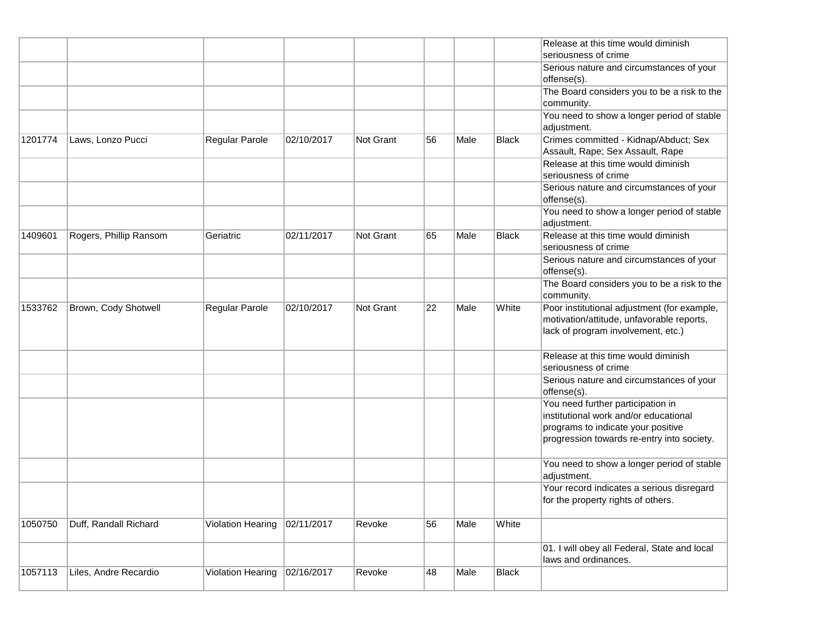| 1057113 | Liles, Andre Recardio  | Violation Hearing | 02/16/2017 | Revoke    | 48 | Male | <b>Black</b> |                                                                                                                                                                |
|---------|------------------------|-------------------|------------|-----------|----|------|--------------|----------------------------------------------------------------------------------------------------------------------------------------------------------------|
|         |                        |                   |            |           |    |      |              | 01. I will obey all Federal, State and local<br>laws and ordinances.                                                                                           |
| 1050750 | Duff, Randall Richard  | Violation Hearing | 02/11/2017 | Revoke    | 56 | Male | White        |                                                                                                                                                                |
|         |                        |                   |            |           |    |      |              | Your record indicates a serious disregard<br>for the property rights of others.                                                                                |
|         |                        |                   |            |           |    |      |              | You need to show a longer period of stable<br>adjustment.                                                                                                      |
|         |                        |                   |            |           |    |      |              | You need further participation in<br>institutional work and/or educational<br>programs to indicate your positive<br>progression towards re-entry into society. |
|         |                        |                   |            |           |    |      |              | Serious nature and circumstances of your<br>offense(s).                                                                                                        |
|         |                        |                   |            |           |    |      |              | Release at this time would diminish<br>seriousness of crime                                                                                                    |
| 1533762 | Brown, Cody Shotwell   | Regular Parole    | 02/10/2017 | Not Grant | 22 | Male | White        | Poor institutional adjustment (for example,<br>motivation/attitude, unfavorable reports,<br>lack of program involvement, etc.)                                 |
|         |                        |                   |            |           |    |      |              | The Board considers you to be a risk to the<br>community.                                                                                                      |
|         |                        |                   |            |           |    |      |              | Serious nature and circumstances of your<br>offense(s).                                                                                                        |
| 1409601 | Rogers, Phillip Ransom | Geriatric         | 02/11/2017 | Not Grant | 65 | Male | <b>Black</b> | Release at this time would diminish<br>seriousness of crime                                                                                                    |
|         |                        |                   |            |           |    |      |              | You need to show a longer period of stable<br>adjustment.                                                                                                      |
|         |                        |                   |            |           |    |      |              | Serious nature and circumstances of your<br>offense(s).                                                                                                        |
|         |                        |                   |            |           |    |      |              | Release at this time would diminish<br>seriousness of crime                                                                                                    |
| 1201774 | Laws, Lonzo Pucci      | Regular Parole    | 02/10/2017 | Not Grant | 56 | Male | <b>Black</b> | Crimes committed - Kidnap/Abduct; Sex<br>Assault, Rape; Sex Assault, Rape                                                                                      |
|         |                        |                   |            |           |    |      |              | You need to show a longer period of stable<br>adjustment.                                                                                                      |
|         |                        |                   |            |           |    |      |              | The Board considers you to be a risk to the<br>community.                                                                                                      |
|         |                        |                   |            |           |    |      |              | Serious nature and circumstances of your<br>offense(s).                                                                                                        |
|         |                        |                   |            |           |    |      |              | Release at this time would diminish<br>seriousness of crime                                                                                                    |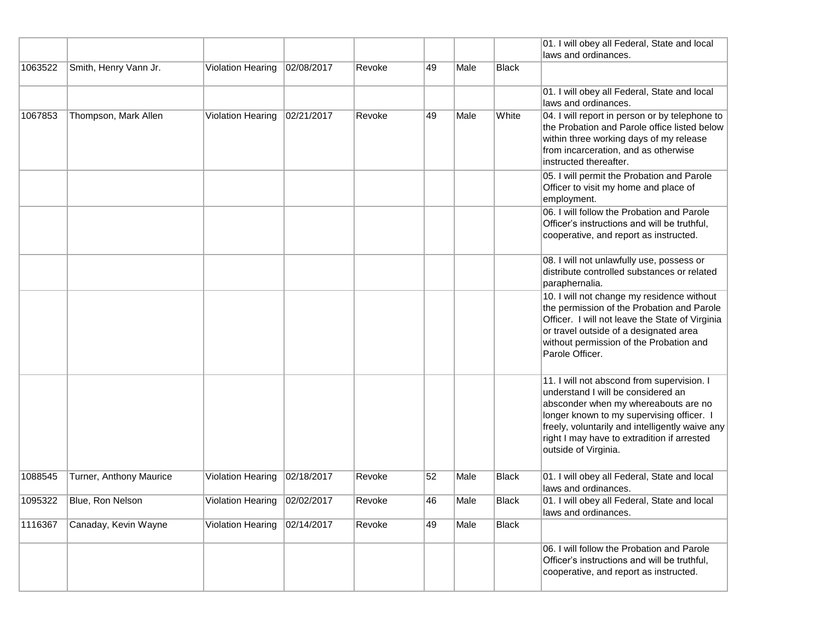|         |                         |                                |            |        |    |      |              | 01. I will obey all Federal, State and local                                                                                                                                                                                                                                                    |
|---------|-------------------------|--------------------------------|------------|--------|----|------|--------------|-------------------------------------------------------------------------------------------------------------------------------------------------------------------------------------------------------------------------------------------------------------------------------------------------|
|         |                         |                                |            |        |    |      |              | laws and ordinances.                                                                                                                                                                                                                                                                            |
| 1063522 | Smith, Henry Vann Jr.   | <b>Violation Hearing</b>       | 02/08/2017 | Revoke | 49 | Male | <b>Black</b> |                                                                                                                                                                                                                                                                                                 |
|         |                         |                                |            |        |    |      |              | 01. I will obey all Federal, State and local<br>laws and ordinances.                                                                                                                                                                                                                            |
| 1067853 | Thompson, Mark Allen    | Violation Hearing              | 02/21/2017 | Revoke | 49 | Male | White        | 04. I will report in person or by telephone to<br>the Probation and Parole office listed below<br>within three working days of my release<br>from incarceration, and as otherwise<br>instructed thereafter.                                                                                     |
|         |                         |                                |            |        |    |      |              | 05. I will permit the Probation and Parole<br>Officer to visit my home and place of<br>employment.                                                                                                                                                                                              |
|         |                         |                                |            |        |    |      |              | 06. I will follow the Probation and Parole<br>Officer's instructions and will be truthful,<br>cooperative, and report as instructed.                                                                                                                                                            |
|         |                         |                                |            |        |    |      |              | 08. I will not unlawfully use, possess or<br>distribute controlled substances or related<br>paraphernalia.                                                                                                                                                                                      |
|         |                         |                                |            |        |    |      |              | 10. I will not change my residence without<br>the permission of the Probation and Parole<br>Officer. I will not leave the State of Virginia<br>or travel outside of a designated area<br>without permission of the Probation and<br>Parole Officer.                                             |
|         |                         |                                |            |        |    |      |              | 11. I will not abscond from supervision. I<br>understand I will be considered an<br>absconder when my whereabouts are no<br>longer known to my supervising officer. I<br>freely, voluntarily and intelligently waive any<br>right I may have to extradition if arrested<br>outside of Virginia. |
| 1088545 | Turner, Anthony Maurice | Violation Hearing              | 02/18/2017 | Revoke | 52 | Male | <b>Black</b> | 01. I will obey all Federal, State and local<br>laws and ordinances.                                                                                                                                                                                                                            |
| 1095322 | Blue, Ron Nelson        | Violation Hearing   02/02/2017 |            | Revoke | 46 | Male | Black        | 01. I will obey all Federal, State and local<br>laws and ordinances.                                                                                                                                                                                                                            |
| 1116367 | Canaday, Kevin Wayne    | Violation Hearing              | 02/14/2017 | Revoke | 49 | Male | <b>Black</b> |                                                                                                                                                                                                                                                                                                 |
|         |                         |                                |            |        |    |      |              | 06. I will follow the Probation and Parole<br>Officer's instructions and will be truthful,<br>cooperative, and report as instructed.                                                                                                                                                            |